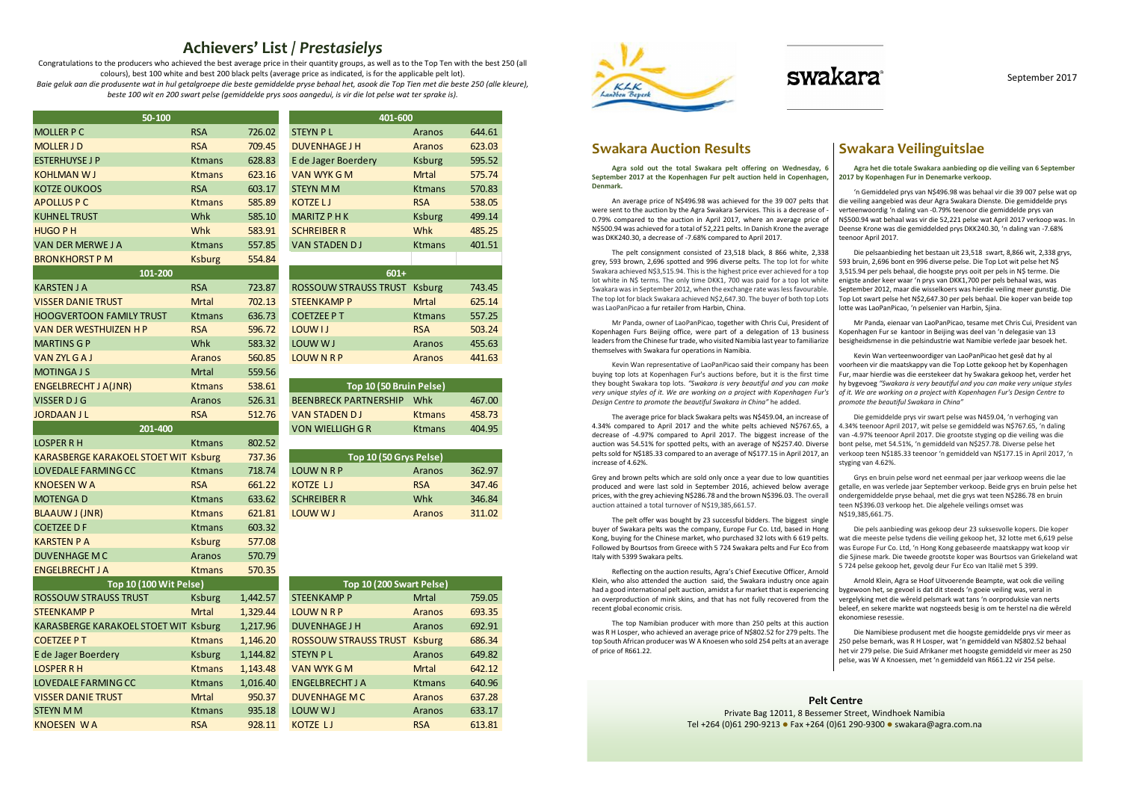# Achievers' List / Prestasielys

 Congratulations to the producers who achieved the best average price in their quantity groups, as well as to the Top Ten with the best 250 (all colours), best 100 white and best 200 black pelts (average price as indicated, is for the applicable pelt lot). Baie geluk aan die produsente wat in hul getalgroepe die beste gemiddelde pryse behaal het, asook die Top Tien met die beste 250 (alle kleure),

beste 100 wit en 200 swart pelse (gemiddelde prys soos aangedui, is vir die lot pelse wat ter sprake is).

### Swakara Auction Results

Agra sold out the total Swakara pelt offering on Wednesday, 6 September 2017 at the Kopenhagen Fur pelt auction held in Copenhagen, Denmark.

The pelt consignment consisted of 23,518 black, 8 866 white, 2,338 grey, 593 brown, 2,696 spotted and 996 diverse pelts. The top lot for white Swakara achieved N\$3,515.94. This is the highest price ever achieved for a top lot white in N\$ terms. The only time DKK1, 700 was paid for a top lot white Swakara was in September 2012, when the exchange rate was less favourable. The top lot for black Swakara achieved N\$2,647.30. The buyer of both top Lots was LaoPanPicao a fur retailer from Harbin, China.

Mr Panda, owner of LaoPanPicao, together with Chris Cui, President of Kopenhagen Furs Beijing office, were part of a delegation of 13 business leaders from the Chinese fur trade, who visited Namibia last year to familiarize themselves with Swakara fur operations in Namibia.

Kevin Wan representative of LaoPanPicao said their company has been buying top lots at Kopenhagen Fur's auctions before, but it is the first time they bought Swakara top lots. "Swakara is very beautiful and you can make very unique styles of it. We are working on a project with Kopenhagen Fur's Design Centre to promote the beautiful Swakara in China" he added.

The average price for black Swakara pelts was N\$459.04, an increase of 4.34% compared to April 2017 and the white pelts achieved N\$767.65, a decrease of -4.97% compared to April 2017. The biggest increase of the auction was 54.51% for spotted pelts, with an average of N\$257.40. Diverse pelts sold for N\$185.33 compared to an average of N\$177.15 in April 2017, an increase of 4.62%.

An average price of N\$496.98 was achieved for the 39 007 pelts that were sent to the auction by the Agra Swakara Services. This is a decrease of - 0.79% compared to the auction in April 2017, where an average price of N\$500.94 was achieved for a total of 52,221 pelts. In Danish Krone the average was DKK240.30, a decrease of -7.68% compared to April 2017. 'n Gemiddeled prys van N\$496.98 was behaal vir die 39 007 pelse wat op die veiling aangebied was deur Agra Swakara Dienste. Die gemiddelde prys verteenwoordig 'n daling van -0.79% teenoor die gemiddelde prys van N\$500.94 wat behaal was vir die 52,221 pelse wat April 2017 verkoop was. In Deense Krone was die gemiddelded prys DKK240.30, 'n daling van -7.68% teenoor April 2017.

Grey and brown pelts which are sold only once a year due to low quantities produced and were last sold in September 2016, achieved below average prices, with the grey achieving N\$286.78 and the brown N\$396.03. The overall auction attained a total turnover of N\$19,385,661.57.

The pelt offer was bought by 23 successful bidders. The biggest single buyer of Swakara pelts was the company, Europe Fur Co. Ltd, based in Hong Kong, buying for the Chinese market, who purchased 32 lots with 6 619 pelts. Followed by Bourtsos from Greece with 5 724 Swakara pelts and Fur Eco from Italy with 5399 Swakara pelts.

Reflecting on the auction results, Agra's Chief Executive Officer, Arnold Klein, who also attended the auction said, the Swakara industry once again had a good international pelt auction, amidst a fur market that is experiencing an overproduction of mink skins, and that has not fully recovered from the recent global economic crisis.

The top Namibian producer with more than 250 pelts at this auction was R H Losper, who achieved an average price of N\$802.52 for 279 pelts. The top South African producer was W A Knoesen who sold 254 pelts at an average of price of R661.22.

### Swakara Veilinguitslae

Agra het die totale Swakara aanbieding op die veiling van 6 September 2017 by Kopenhagen Fur in Denemarke verkoop.

Die pelsaanbieding het bestaan uit 23,518 swart, 8,866 wit, 2,338 grys, 593 bruin, 2,696 bont en 996 diverse pelse. Die Top Lot wit pelse het N\$ 3,515.94 per pels behaal, die hoogste prys ooit per pels in N\$ terme. Die enigste ander keer waar 'n prys van DKK1,700 per pels behaal was, was September 2012, maar die wisselkoers was hierdie veiling meer gunstig. Die Top Lot swart pelse het N\$2,647.30 per pels behaal. Die koper van beide top lotte was LaoPanPicao, 'n pelsenier van Harbin, Sjina.

Mr Panda, eienaar van LaoPanPicao, tesame met Chris Cui, President van Kopenhagen Fur se kantoor in Beijing was deel van 'n delegasie van 13 besigheidsmense in die pelsindustrie wat Namibie verlede jaar besoek het.

Kevin Wan verteenwoordiger van LaoPanPicao het gesê dat hy al voorheen vir die maatskappy van die Top Lotte gekoop het by Kopenhagen Fur, maar hierdie was die eerstekeer dat hy Swakara gekoop het, verder het hy bygevoeg "Swakara is very beautiful and you can make very unique styles of it. We are working on a project with Kopenhagen Fur's Design Centre to promote the beautiful Swakara in China"

Die gemiddelde prys vir swart pelse was N459.04, 'n verhoging van 4.34% teenoor April 2017, wit pelse se gemiddeld was N\$767.65, 'n daling van -4.97% teenoor April 2017. Die grootste styging op die veiling was die bont pelse, met 54.51%, 'n gemiddeld van N\$257.78. Diverse pelse het verkoop teen N\$185.33 teenoor 'n gemiddeld van N\$177.15 in April 2017, 'n styging van 4.62%.

Grys en bruin pelse word net eenmaal per jaar verkoop weens die lae getalle, en was verlede jaar September verkoop. Beide grys en bruin pelse het ondergemiddelde pryse behaal, met die grys wat teen N\$286.78 en bruin teen N\$396.03 verkoop het. Die algehele veilings omset was N\$19,385,661.75.

Die pels aanbieding was gekoop deur 23 suksesvolle kopers. Die koper wat die meeste pelse tydens die veiling gekoop het, 32 lotte met 6,619 pelse was Europe Fur Co. Ltd, 'n Hong Kong gebaseerde maatskappy wat koop vir die Sjinese mark. Die tweede grootste koper was Bourtsos van Griekeland wat 5 724 pelse gekoop het, gevolg deur Fur Eco van Italië met 5 399.

Arnold Klein, Agra se Hoof Uitvoerende Beampte, wat ook die veiling bygewoon het, se gevoel is dat dit steeds 'n goeie veiling was, veral in vergelyking met die wêreld pelsmark wat tans 'n oorproduksie van nerts beleef, en sekere markte wat nogsteeds besig is om te herstel na die wêreld ekonomiese resessie.

Die Namibiese produsent met die hoogste gemiddelde prys vir meer as 250 pelse bemark, was R H Losper, wat 'n gemiddeld van N\$802.52 behaal het vir 279 pelse. Die Suid Afrikaner met hoogste gemiddeld vir meer as 250 pelse, was W A Knoessen, met 'n gemiddeld van R661.22 vir 254 pelse.

Pelt Centre Private Bag 12011, 8 Bessemer Street, Windhoek Namibia Tel +264 (0)61 290-9213 Fax +264 (0)61 290-9300 swakara@agra.com.na

| 50-100                                      |               |          | 401-600                          |               |        |  |
|---------------------------------------------|---------------|----------|----------------------------------|---------------|--------|--|
| <b>MOLLER P C</b>                           | <b>RSA</b>    | 726.02   | <b>STEYN PL</b>                  | Aranos        | 644.61 |  |
| <b>MOLLER JD</b>                            | <b>RSA</b>    | 709.45   | <b>DUVENHAGE J H</b>             | <b>Aranos</b> | 623.03 |  |
| <b>ESTERHUYSE J P</b>                       | <b>Ktmans</b> | 628.83   | E de Jager Boerdery              | <b>Ksburg</b> | 595.52 |  |
| <b>KOHLMAN WJ</b>                           | <b>Ktmans</b> | 623.16   | <b>VAN WYK GM</b>                | <b>Mrtal</b>  | 575.74 |  |
| <b>KOTZE OUKOOS</b>                         | <b>RSA</b>    | 603.17   | <b>STEYN MM</b>                  | <b>Ktmans</b> | 570.83 |  |
| <b>APOLLUS P C</b>                          | <b>Ktmans</b> | 585.89   | <b>KOTZELJ</b>                   | <b>RSA</b>    | 538.05 |  |
| <b>KUHNEL TRUST</b>                         | Whk           | 585.10   | <b>MARITZ PHK</b>                | <b>Ksburg</b> | 499.14 |  |
| <b>HUGO PH</b>                              | Whk           | 583.91   | <b>SCHREIBER R</b>               | <b>Whk</b>    | 485.25 |  |
| <b>VAN DER MERWEJ A</b>                     | <b>Ktmans</b> | 557.85   | <b>VAN STADEN DJ</b>             | <b>Ktmans</b> | 401.51 |  |
| <b>BRONKHORST P M</b>                       | <b>Ksburg</b> | 554.84   |                                  |               |        |  |
| 101-200                                     |               |          | $601+$                           |               |        |  |
| <b>KARSTEN J A</b>                          | <b>RSA</b>    | 723.87   | ROSSOUW STRAUSS TRUST Ksburg     |               | 743.45 |  |
| <b>VISSER DANIE TRUST</b>                   | <b>Mrtal</b>  | 702.13   | <b>STEENKAMP P</b>               | <b>Mrtal</b>  | 625.14 |  |
| <b>HOOGVERTOON FAMILY TRUST</b>             | <b>Ktmans</b> | 636.73   | <b>COETZEE PT</b>                | <b>Ktmans</b> | 557.25 |  |
| <b>VAN DER WESTHUIZEN H P</b>               | <b>RSA</b>    | 596.72   | LOUW I J                         | <b>RSA</b>    | 503.24 |  |
| <b>MARTINS GP</b>                           | Whk           | 583.32   | LOUW W J                         | Aranos        | 455.63 |  |
| <b>VAN ZYL GAJ</b>                          | <b>Aranos</b> | 560.85   | <b>LOUWNRP</b>                   | Aranos        | 441.63 |  |
| <b>MOTINGA J S</b>                          | Mrtal         | 559.56   |                                  |               |        |  |
| <b>ENGELBRECHT J A(JNR)</b>                 | <b>Ktmans</b> | 538.61   | Top 10 (50 Bruin Pelse)          |               |        |  |
| <b>VISSER DJG</b>                           | Aranos        | 526.31   | <b>BEENBRECK PARTNERSHIP Whk</b> |               | 467.00 |  |
| <b>JORDAAN JL</b>                           | <b>RSA</b>    | 512.76   | <b>VAN STADEN DJ</b>             | <b>Ktmans</b> | 458.73 |  |
| 201-400                                     |               |          | <b>VON WIELLIGH G R</b>          | <b>Ktmans</b> | 404.95 |  |
| <b>LOSPER R H</b>                           | <b>Ktmans</b> | 802.52   |                                  |               |        |  |
| <b>KARASBERGE KARAKOEL STOET WIT Ksburg</b> |               | 737.36   | Top 10 (50 Grys Pelse)           |               |        |  |
| <b>LOVEDALE FARMING CC</b>                  | <b>Ktmans</b> | 718.74   | <b>LOUWNRP</b>                   | Aranos        | 362.97 |  |
| <b>KNOESEN WA</b>                           | <b>RSA</b>    | 661.22   | <b>KOTZE LJ</b>                  | <b>RSA</b>    | 347.46 |  |
| <b>MOTENGAD</b>                             | <b>Ktmans</b> | 633.62   | <b>SCHREIBER R</b>               | Whk           | 346.84 |  |
| <b>BLAAUW J (JNR)</b>                       | <b>Ktmans</b> | 621.81   | LOUW WJ                          | Aranos        | 311.02 |  |
| <b>COETZEE D F</b>                          | <b>Ktmans</b> | 603.32   |                                  |               |        |  |
| <b>KARSTEN P A</b>                          | <b>Ksburg</b> | 577.08   |                                  |               |        |  |
| <b>DUVENHAGE MC</b>                         | Aranos        | 570.79   |                                  |               |        |  |
| <b>ENGELBRECHT J A</b>                      | <b>Ktmans</b> | 570.35   |                                  |               |        |  |
| <b>Top 10 (100 Wit Pelse)</b>               |               |          | Top 10 (200 Swart Pelse)         |               |        |  |
| <b>ROSSOUW STRAUSS TRUST</b>                | <b>Ksburg</b> | 1,442.57 | <b>STEENKAMP P</b>               | <b>Mrtal</b>  | 759.05 |  |
| <b>STEENKAMP P</b>                          | <b>Mrtal</b>  | 1,329.44 | <b>LOUWNRP</b>                   | Aranos        | 693.35 |  |
| KARASBERGE KARAKOEL STOET WIT Ksburg        |               | 1,217.96 | <b>DUVENHAGE J H</b>             | Aranos        | 692.91 |  |
| <b>COETZEE PT</b>                           | <b>Ktmans</b> | 1,146.20 | ROSSOUW STRAUSS TRUST Ksburg     |               | 686.34 |  |
| E de Jager Boerdery                         | <b>Ksburg</b> | 1,144.82 | <b>STEYN PL</b>                  | Aranos        | 649.82 |  |
| <b>LOSPER RH</b>                            | <b>Ktmans</b> | 1,143.48 | <b>VAN WYK GM</b>                | <b>Mrtal</b>  | 642.12 |  |
| <b>LOVEDALE FARMING CC</b>                  | <b>Ktmans</b> | 1,016.40 | <b>ENGELBRECHT J A</b>           | <b>Ktmans</b> | 640.96 |  |
| <b>VISSER DANIE TRUST</b>                   | <b>Mrtal</b>  | 950.37   | <b>DUVENHAGE MC</b>              | Aranos        | 637.28 |  |
| <b>STEYN MM</b>                             | <b>Ktmans</b> | 935.18   | LOUW W J                         | Aranos        | 633.17 |  |
| KNOFSEN WA                                  | <b>RSA</b>    | 928 11   | $KOTZF$                          | <b>RSA</b>    | 613.81 |  |

| Top 10 (50 Bruin Pelse)      |               |        |  |  |  |  |  |  |  |
|------------------------------|---------------|--------|--|--|--|--|--|--|--|
| <b>BEENBRECK PARTNERSHIP</b> | Whk           | 467.00 |  |  |  |  |  |  |  |
| <b>VAN STADEN DJ</b>         | <b>Ktmans</b> | 458.73 |  |  |  |  |  |  |  |
| VON WIFLLIGH G R             | <b>Ktmans</b> | 404.95 |  |  |  |  |  |  |  |
|                              |               |        |  |  |  |  |  |  |  |

| Top 10 (50 Grys Pelse) |               |        |  |  |  |  |  |  |  |
|------------------------|---------------|--------|--|--|--|--|--|--|--|
| LOUW N R P             | Aranos        | 362.97 |  |  |  |  |  |  |  |
| KOTZE LJ               | <b>RSA</b>    | 347.46 |  |  |  |  |  |  |  |
| SCHREIBER R            | Whk           | 346.84 |  |  |  |  |  |  |  |
| LOUW W J               | <b>Aranos</b> | 311.02 |  |  |  |  |  |  |  |
|                        |               |        |  |  |  |  |  |  |  |

| <b>Top 10 (100 Wit Pelse)</b>        |               |          | Top 10 (200 Swart Pelse)            |               |        |  |  |
|--------------------------------------|---------------|----------|-------------------------------------|---------------|--------|--|--|
| ROSSOUW STRAUSS TRUST                | <b>Ksburg</b> | 1,442.57 | <b>STEENKAMP P</b>                  | Mrtal         | 759.05 |  |  |
| STEENKAMP P                          | <b>Mrtal</b>  | 1,329.44 | <b>LOUWNRP</b>                      | <b>Aranos</b> | 693.35 |  |  |
| KARASBERGE KARAKOEL STOET WIT Ksburg |               | 1,217.96 | <b>DUVENHAGE J H</b>                | Aranos        | 692.91 |  |  |
| <b>COETZEE PT</b>                    | <b>Ktmans</b> | 1,146.20 | <b>ROSSOUW STRAUSS TRUST Ksburg</b> |               | 686.34 |  |  |
| E de Jager Boerdery                  | <b>Ksburg</b> | 1,144.82 | <b>STEYN PL</b>                     | Aranos        | 649.82 |  |  |
| LOSPER R H                           | <b>Ktmans</b> | 1,143.48 | <b>VAN WYK GM</b>                   | <b>Mrtal</b>  | 642.12 |  |  |
| LOVEDALE FARMING CC                  | <b>Ktmans</b> | 1,016.40 | <b>ENGELBRECHT J A</b>              | <b>Ktmans</b> | 640.96 |  |  |
| <b>VISSER DANIE TRUST</b>            | <b>Mrtal</b>  | 950.37   | <b>DUVENHAGE MC</b>                 | <b>Aranos</b> | 637.28 |  |  |
| STEYN M M                            | <b>Ktmans</b> | 935.18   | LOUW WJ                             | Aranos        | 633.17 |  |  |
| KNOESEN WA                           | <b>RSA</b>    | 928.11   | <b>KOTZE LJ</b>                     | <b>RSA</b>    | 613.81 |  |  |
|                                      |               |          |                                     |               |        |  |  |



# swakara

| 401-600                      |               |                |  |  |  |  |  |  |  |
|------------------------------|---------------|----------------|--|--|--|--|--|--|--|
| <b>STEYN PL</b>              | Aranos        | 644.61         |  |  |  |  |  |  |  |
| <b>DUVENHAGE J H</b>         | Aranos        | 623.03         |  |  |  |  |  |  |  |
| E de Jager Boerdery          | <b>Ksburg</b> | 595.52         |  |  |  |  |  |  |  |
| <b>VAN WYK G M</b>           | Mrtal         | 575.74         |  |  |  |  |  |  |  |
| <b>STEYN MM</b>              | <b>Ktmans</b> | 570.83         |  |  |  |  |  |  |  |
| <b>KOTZELJ</b>               | <b>RSA</b>    | 538.05         |  |  |  |  |  |  |  |
| <b>MARITZ P H K</b>          | <b>Ksburg</b> | 499.14         |  |  |  |  |  |  |  |
| <b>SCHREIBER R</b>           | Whk           | 485.25         |  |  |  |  |  |  |  |
| <b>VAN STADEN DJ</b>         | <b>Ktmans</b> | 401.51         |  |  |  |  |  |  |  |
|                              |               |                |  |  |  |  |  |  |  |
| 601+                         |               |                |  |  |  |  |  |  |  |
| <b>ROSSOUW STRAUSS TRUST</b> | <b>Ksburg</b> | 743.45         |  |  |  |  |  |  |  |
| <b>STEENKAMP P</b>           | <b>Mrtal</b>  | 625.14         |  |  |  |  |  |  |  |
| <b>COETZEE PT</b>            | <b>Ktmans</b> | 557.25         |  |  |  |  |  |  |  |
| LOUW <sub>IJ</sub>           | <b>RSA</b>    | 503.24         |  |  |  |  |  |  |  |
| LOUW WJ                      | Aranos        | 455.63         |  |  |  |  |  |  |  |
| .                            |               | $\overline{a}$ |  |  |  |  |  |  |  |